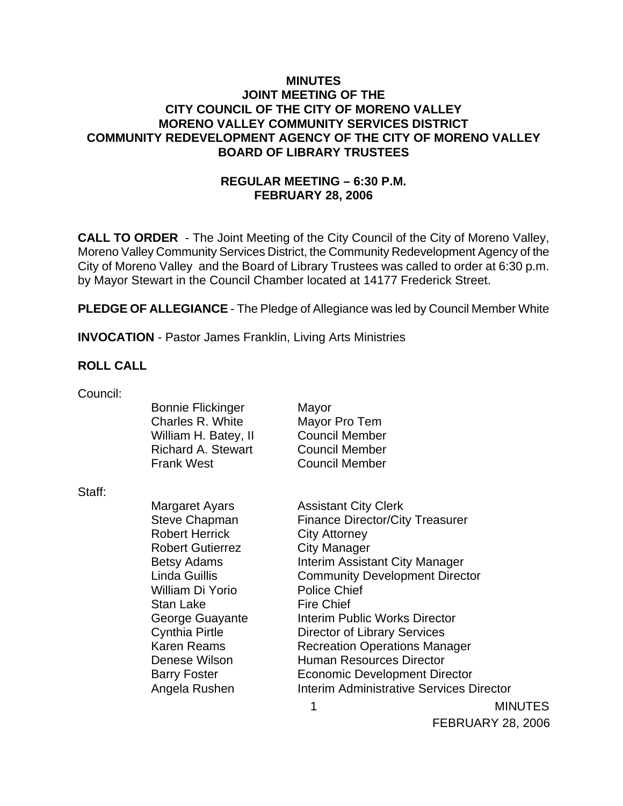## **MINUTES JOINT MEETING OF THE CITY COUNCIL OF THE CITY OF MORENO VALLEY MORENO VALLEY COMMUNITY SERVICES DISTRICT COMMUNITY REDEVELOPMENT AGENCY OF THE CITY OF MORENO VALLEY BOARD OF LIBRARY TRUSTEES**

# **REGULAR MEETING – 6:30 P.M. FEBRUARY 28, 2006**

**CALL TO ORDER** - The Joint Meeting of the City Council of the City of Moreno Valley, Moreno Valley Community Services District, the Community Redevelopment Agency of the City of Moreno Valley and the Board of Library Trustees was called to order at 6:30 p.m. by Mayor Stewart in the Council Chamber located at 14177 Frederick Street.

**PLEDGE OF ALLEGIANCE** - The Pledge of Allegiance was led by Council Member White

**INVOCATION** - Pastor James Franklin, Living Arts Ministries

## **ROLL CALL**

| Council: |                           |                                          |
|----------|---------------------------|------------------------------------------|
|          | <b>Bonnie Flickinger</b>  | Mayor                                    |
|          | Charles R. White          | Mayor Pro Tem                            |
|          | William H. Batey, II      | <b>Council Member</b>                    |
|          | <b>Richard A. Stewart</b> | <b>Council Member</b>                    |
|          | <b>Frank West</b>         | <b>Council Member</b>                    |
| Staff:   |                           |                                          |
|          | Margaret Ayars            | <b>Assistant City Clerk</b>              |
|          | Steve Chapman             | <b>Finance Director/City Treasurer</b>   |
|          | <b>Robert Herrick</b>     | <b>City Attorney</b>                     |
|          | <b>Robert Gutierrez</b>   | City Manager                             |
|          | <b>Betsy Adams</b>        | Interim Assistant City Manager           |
|          | Linda Guillis             | <b>Community Development Director</b>    |
|          | William Di Yorio          | <b>Police Chief</b>                      |
|          | <b>Stan Lake</b>          | <b>Fire Chief</b>                        |
|          | George Guayante           | Interim Public Works Director            |
|          | <b>Cynthia Pirtle</b>     | Director of Library Services             |
|          | Karen Reams               | <b>Recreation Operations Manager</b>     |
|          | Denese Wilson             | <b>Human Resources Director</b>          |
|          | <b>Barry Foster</b>       | <b>Economic Development Director</b>     |
|          | Angela Rushen             | Interim Administrative Services Director |

1 MINUTES

FEBRUARY 28, 2006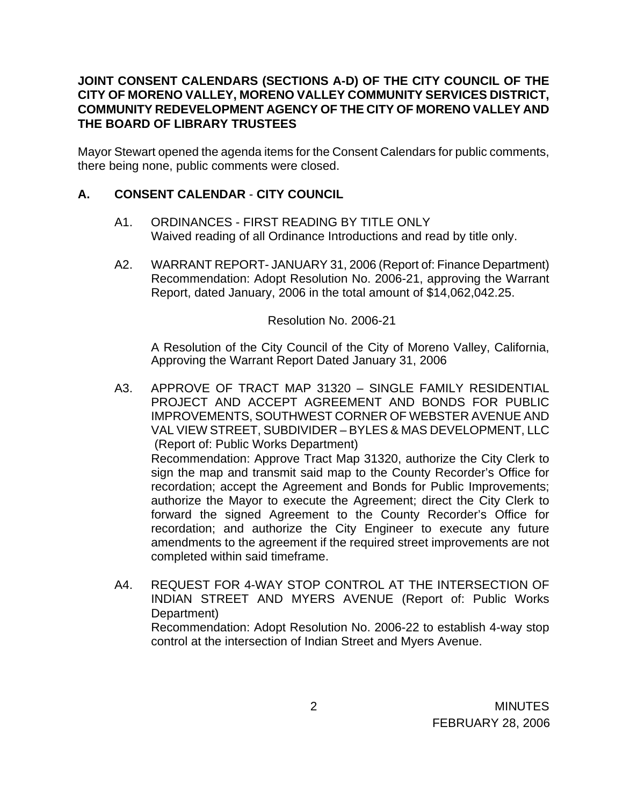# **JOINT CONSENT CALENDARS (SECTIONS A-D) OF THE CITY COUNCIL OF THE CITY OF MORENO VALLEY, MORENO VALLEY COMMUNITY SERVICES DISTRICT, COMMUNITY REDEVELOPMENT AGENCY OF THE CITY OF MORENO VALLEY AND THE BOARD OF LIBRARY TRUSTEES**

Mayor Stewart opened the agenda items for the Consent Calendars for public comments, there being none, public comments were closed.

# **A. CONSENT CALENDAR** - **CITY COUNCIL**

- A1. ORDINANCES FIRST READING BY TITLE ONLY Waived reading of all Ordinance Introductions and read by title only.
- A2. WARRANT REPORT- JANUARY 31, 2006 (Report of: Finance Department) Recommendation: Adopt Resolution No. 2006-21, approving the Warrant Report, dated January, 2006 in the total amount of \$14,062,042.25.

#### Resolution No. 2006-21

 A Resolution of the City Council of the City of Moreno Valley, California, Approving the Warrant Report Dated January 31, 2006

- A3. APPROVE OF TRACT MAP 31320 SINGLE FAMILY RESIDENTIAL PROJECT AND ACCEPT AGREEMENT AND BONDS FOR PUBLIC IMPROVEMENTS, SOUTHWEST CORNER OF WEBSTER AVENUE AND VAL VIEW STREET, SUBDIVIDER – BYLES & MAS DEVELOPMENT, LLC (Report of: Public Works Department) Recommendation: Approve Tract Map 31320, authorize the City Clerk to sign the map and transmit said map to the County Recorder's Office for recordation; accept the Agreement and Bonds for Public Improvements; authorize the Mayor to execute the Agreement; direct the City Clerk to forward the signed Agreement to the County Recorder's Office for recordation; and authorize the City Engineer to execute any future amendments to the agreement if the required street improvements are not completed within said timeframe.
- A4. REQUEST FOR 4-WAY STOP CONTROL AT THE INTERSECTION OF INDIAN STREET AND MYERS AVENUE (Report of: Public Works Department) Recommendation: Adopt Resolution No. 2006-22 to establish 4-way stop control at the intersection of Indian Street and Myers Avenue.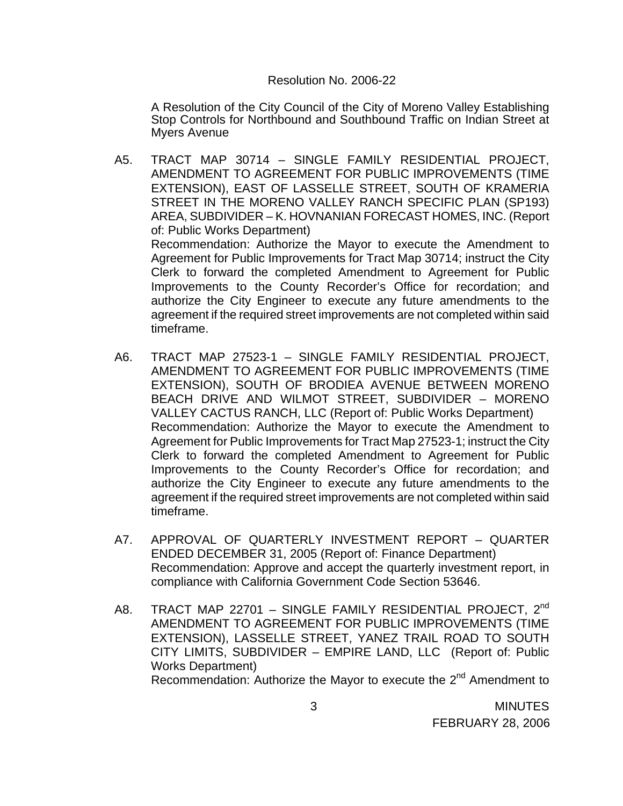#### Resolution No. 2006-22

A Resolution of the City Council of the City of Moreno Valley Establishing Stop Controls for Northbound and Southbound Traffic on Indian Street at Myers Avenue

- A5. TRACT MAP 30714 SINGLE FAMILY RESIDENTIAL PROJECT, AMENDMENT TO AGREEMENT FOR PUBLIC IMPROVEMENTS (TIME EXTENSION), EAST OF LASSELLE STREET, SOUTH OF KRAMERIA STREET IN THE MORENO VALLEY RANCH SPECIFIC PLAN (SP193) AREA, SUBDIVIDER – K. HOVNANIAN FORECAST HOMES, INC. (Report of: Public Works Department) Recommendation: Authorize the Mayor to execute the Amendment to Agreement for Public Improvements for Tract Map 30714; instruct the City Clerk to forward the completed Amendment to Agreement for Public Improvements to the County Recorder's Office for recordation; and authorize the City Engineer to execute any future amendments to the agreement if the required street improvements are not completed within said timeframe.
- A6. TRACT MAP 27523-1 SINGLE FAMILY RESIDENTIAL PROJECT, AMENDMENT TO AGREEMENT FOR PUBLIC IMPROVEMENTS (TIME EXTENSION), SOUTH OF BRODIEA AVENUE BETWEEN MORENO BEACH DRIVE AND WILMOT STREET, SUBDIVIDER – MORENO VALLEY CACTUS RANCH, LLC (Report of: Public Works Department) Recommendation: Authorize the Mayor to execute the Amendment to Agreement for Public Improvements for Tract Map 27523-1; instruct the City Clerk to forward the completed Amendment to Agreement for Public Improvements to the County Recorder's Office for recordation; and authorize the City Engineer to execute any future amendments to the agreement if the required street improvements are not completed within said timeframe.
- A7. APPROVAL OF QUARTERLY INVESTMENT REPORT QUARTER ENDED DECEMBER 31, 2005 (Report of: Finance Department) Recommendation: Approve and accept the quarterly investment report, in compliance with California Government Code Section 53646.
- A8. TRACT MAP 22701 SINGLE FAMILY RESIDENTIAL PROJECT, 2<sup>nd</sup> AMENDMENT TO AGREEMENT FOR PUBLIC IMPROVEMENTS (TIME EXTENSION), LASSELLE STREET, YANEZ TRAIL ROAD TO SOUTH CITY LIMITS, SUBDIVIDER – EMPIRE LAND, LLC (Report of: Public Works Department) Recommendation: Authorize the Mayor to execute the 2<sup>nd</sup> Amendment to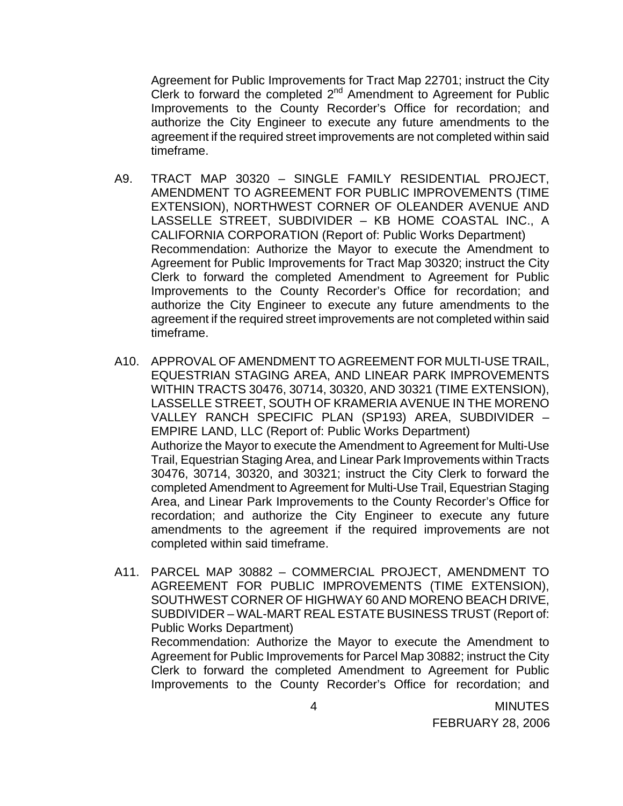Agreement for Public Improvements for Tract Map 22701; instruct the City Clerk to forward the completed  $2^{nd}$  Amendment to Agreement for Public Improvements to the County Recorder's Office for recordation; and authorize the City Engineer to execute any future amendments to the agreement if the required street improvements are not completed within said timeframe.

- A9. TRACT MAP 30320 SINGLE FAMILY RESIDENTIAL PROJECT, AMENDMENT TO AGREEMENT FOR PUBLIC IMPROVEMENTS (TIME EXTENSION), NORTHWEST CORNER OF OLEANDER AVENUE AND LASSELLE STREET, SUBDIVIDER – KB HOME COASTAL INC., A CALIFORNIA CORPORATION (Report of: Public Works Department) Recommendation: Authorize the Mayor to execute the Amendment to Agreement for Public Improvements for Tract Map 30320; instruct the City Clerk to forward the completed Amendment to Agreement for Public Improvements to the County Recorder's Office for recordation; and authorize the City Engineer to execute any future amendments to the agreement if the required street improvements are not completed within said timeframe.
- A10. APPROVAL OF AMENDMENT TO AGREEMENT FOR MULTI-USE TRAIL, EQUESTRIAN STAGING AREA, AND LINEAR PARK IMPROVEMENTS WITHIN TRACTS 30476, 30714, 30320, AND 30321 (TIME EXTENSION), LASSELLE STREET, SOUTH OF KRAMERIA AVENUE IN THE MORENO VALLEY RANCH SPECIFIC PLAN (SP193) AREA, SUBDIVIDER – EMPIRE LAND, LLC (Report of: Public Works Department) Authorize the Mayor to execute the Amendment to Agreement for Multi-Use Trail, Equestrian Staging Area, and Linear Park Improvements within Tracts 30476, 30714, 30320, and 30321; instruct the City Clerk to forward the completed Amendment to Agreement for Multi-Use Trail, Equestrian Staging Area, and Linear Park Improvements to the County Recorder's Office for recordation; and authorize the City Engineer to execute any future amendments to the agreement if the required improvements are not completed within said timeframe.
- A11. PARCEL MAP 30882 COMMERCIAL PROJECT, AMENDMENT TO AGREEMENT FOR PUBLIC IMPROVEMENTS (TIME EXTENSION), SOUTHWEST CORNER OF HIGHWAY 60 AND MORENO BEACH DRIVE, SUBDIVIDER – WAL-MART REAL ESTATE BUSINESS TRUST (Report of: Public Works Department) Recommendation: Authorize the Mayor to execute the Amendment to

Agreement for Public Improvements for Parcel Map 30882; instruct the City Clerk to forward the completed Amendment to Agreement for Public Improvements to the County Recorder's Office for recordation; and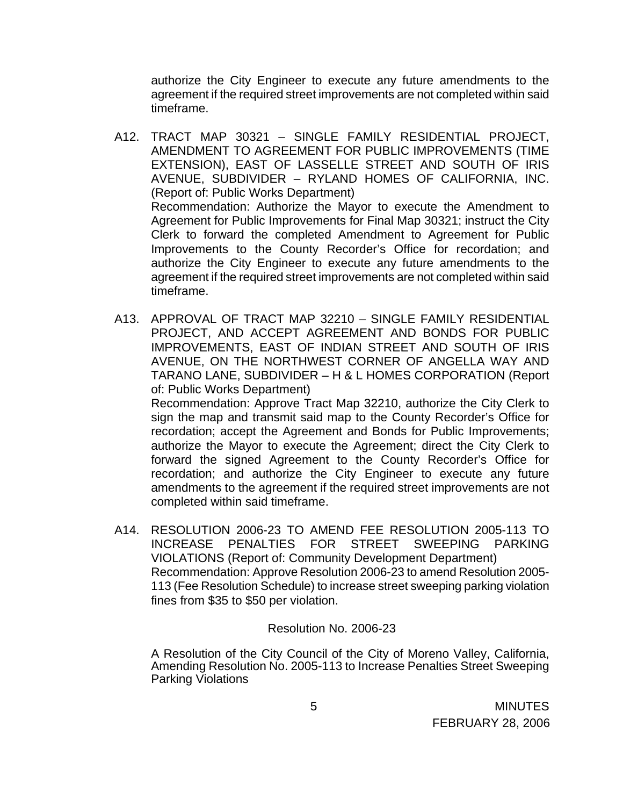authorize the City Engineer to execute any future amendments to the agreement if the required street improvements are not completed within said timeframe.

- A12. TRACT MAP 30321 SINGLE FAMILY RESIDENTIAL PROJECT, AMENDMENT TO AGREEMENT FOR PUBLIC IMPROVEMENTS (TIME EXTENSION), EAST OF LASSELLE STREET AND SOUTH OF IRIS AVENUE, SUBDIVIDER – RYLAND HOMES OF CALIFORNIA, INC. (Report of: Public Works Department) Recommendation: Authorize the Mayor to execute the Amendment to Agreement for Public Improvements for Final Map 30321; instruct the City Clerk to forward the completed Amendment to Agreement for Public Improvements to the County Recorder's Office for recordation; and authorize the City Engineer to execute any future amendments to the agreement if the required street improvements are not completed within said timeframe.
- A13. APPROVAL OF TRACT MAP 32210 SINGLE FAMILY RESIDENTIAL PROJECT, AND ACCEPT AGREEMENT AND BONDS FOR PUBLIC IMPROVEMENTS, EAST OF INDIAN STREET AND SOUTH OF IRIS AVENUE, ON THE NORTHWEST CORNER OF ANGELLA WAY AND TARANO LANE, SUBDIVIDER – H & L HOMES CORPORATION (Report of: Public Works Department) Recommendation: Approve Tract Map 32210, authorize the City Clerk to sign the map and transmit said map to the County Recorder's Office for recordation; accept the Agreement and Bonds for Public Improvements; authorize the Mayor to execute the Agreement; direct the City Clerk to

forward the signed Agreement to the County Recorder's Office for recordation; and authorize the City Engineer to execute any future amendments to the agreement if the required street improvements are not completed within said timeframe.

A14. RESOLUTION 2006-23 TO AMEND FEE RESOLUTION 2005-113 TO INCREASE PENALTIES FOR STREET SWEEPING PARKING VIOLATIONS (Report of: Community Development Department) Recommendation: Approve Resolution 2006-23 to amend Resolution 2005- 113 (Fee Resolution Schedule) to increase street sweeping parking violation fines from \$35 to \$50 per violation.

## Resolution No. 2006-23

A Resolution of the City Council of the City of Moreno Valley, California, Amending Resolution No. 2005-113 to Increase Penalties Street Sweeping Parking Violations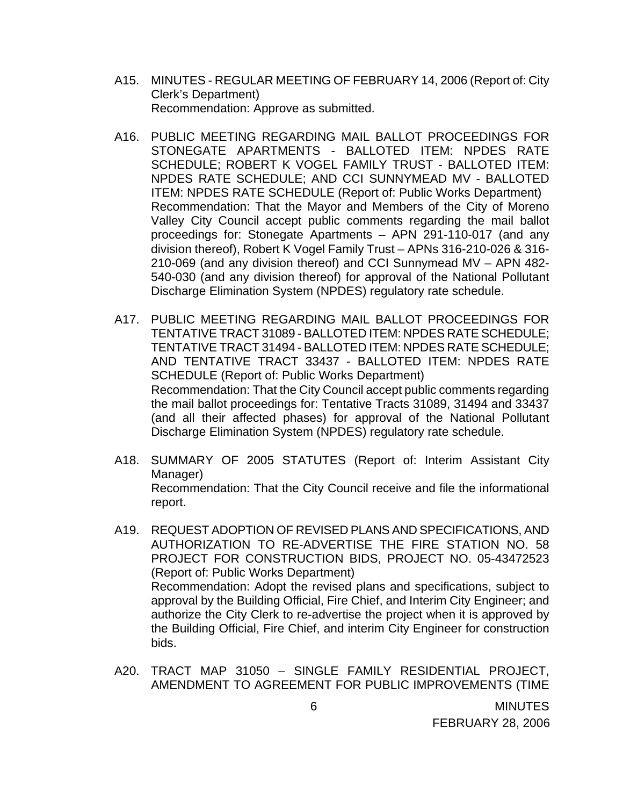- A15. MINUTES REGULAR MEETING OF FEBRUARY 14, 2006 (Report of: City Clerk's Department) Recommendation: Approve as submitted.
- A16. PUBLIC MEETING REGARDING MAIL BALLOT PROCEEDINGS FOR STONEGATE APARTMENTS - BALLOTED ITEM: NPDES RATE SCHEDULE; ROBERT K VOGEL FAMILY TRUST - BALLOTED ITEM: NPDES RATE SCHEDULE; AND CCI SUNNYMEAD MV - BALLOTED ITEM: NPDES RATE SCHEDULE (Report of: Public Works Department) Recommendation: That the Mayor and Members of the City of Moreno Valley City Council accept public comments regarding the mail ballot proceedings for: Stonegate Apartments – APN 291-110-017 (and any division thereof), Robert K Vogel Family Trust – APNs 316-210-026 & 316- 210-069 (and any division thereof) and CCI Sunnymead MV – APN 482- 540-030 (and any division thereof) for approval of the National Pollutant Discharge Elimination System (NPDES) regulatory rate schedule.
- A17. PUBLIC MEETING REGARDING MAIL BALLOT PROCEEDINGS FOR TENTATIVE TRACT 31089 - BALLOTED ITEM: NPDES RATE SCHEDULE; TENTATIVE TRACT 31494 - BALLOTED ITEM: NPDES RATE SCHEDULE; AND TENTATIVE TRACT 33437 - BALLOTED ITEM: NPDES RATE SCHEDULE (Report of: Public Works Department) Recommendation: That the City Council accept public comments regarding the mail ballot proceedings for: Tentative Tracts 31089, 31494 and 33437 (and all their affected phases) for approval of the National Pollutant Discharge Elimination System (NPDES) regulatory rate schedule.
- A18. SUMMARY OF 2005 STATUTES (Report of: Interim Assistant City Manager) Recommendation: That the City Council receive and file the informational report.
- A19. REQUEST ADOPTION OF REVISED PLANS AND SPECIFICATIONS, AND AUTHORIZATION TO RE-ADVERTISE THE FIRE STATION NO. 58 PROJECT FOR CONSTRUCTION BIDS, PROJECT NO. 05-43472523 (Report of: Public Works Department) Recommendation: Adopt the revised plans and specifications, subject to approval by the Building Official, Fire Chief, and Interim City Engineer; and authorize the City Clerk to re-advertise the project when it is approved by the Building Official, Fire Chief, and interim City Engineer for construction bids.
- A20. TRACT MAP 31050 SINGLE FAMILY RESIDENTIAL PROJECT, AMENDMENT TO AGREEMENT FOR PUBLIC IMPROVEMENTS (TIME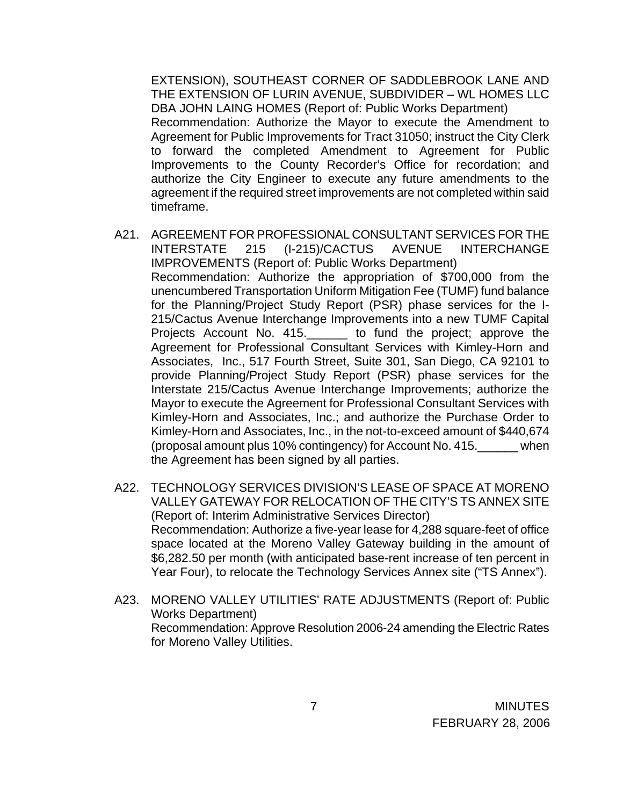EXTENSION), SOUTHEAST CORNER OF SADDLEBROOK LANE AND THE EXTENSION OF LURIN AVENUE, SUBDIVIDER – WL HOMES LLC DBA JOHN LAING HOMES (Report of: Public Works Department) Recommendation: Authorize the Mayor to execute the Amendment to Agreement for Public Improvements for Tract 31050; instruct the City Clerk to forward the completed Amendment to Agreement for Public Improvements to the County Recorder's Office for recordation; and authorize the City Engineer to execute any future amendments to the agreement if the required street improvements are not completed within said timeframe.

- A21. AGREEMENT FOR PROFESSIONAL CONSULTANT SERVICES FOR THE INTERSTATE 215 (I-215)/CACTUS AVENUE INTERCHANGE IMPROVEMENTS (Report of: Public Works Department) Recommendation: Authorize the appropriation of \$700,000 from the unencumbered Transportation Uniform Mitigation Fee (TUMF) fund balance for the Planning/Project Study Report (PSR) phase services for the I-215/Cactus Avenue Interchange Improvements into a new TUMF Capital Projects Account No. 415.\_\_\_\_\_\_ to fund the project; approve the Agreement for Professional Consultant Services with Kimley-Horn and Associates, Inc., 517 Fourth Street, Suite 301, San Diego, CA 92101 to provide Planning/Project Study Report (PSR) phase services for the Interstate 215/Cactus Avenue Interchange Improvements; authorize the Mayor to execute the Agreement for Professional Consultant Services with Kimley-Horn and Associates, Inc.; and authorize the Purchase Order to Kimley-Horn and Associates, Inc., in the not-to-exceed amount of \$440,674 (proposal amount plus 10% contingency) for Account No. 415.\_\_\_\_\_\_ when the Agreement has been signed by all parties.
- A22. TECHNOLOGY SERVICES DIVISION'S LEASE OF SPACE AT MORENO VALLEY GATEWAY FOR RELOCATION OF THE CITY'S TS ANNEX SITE (Report of: Interim Administrative Services Director) Recommendation: Authorize a five-year lease for 4,288 square-feet of office space located at the Moreno Valley Gateway building in the amount of \$6,282.50 per month (with anticipated base-rent increase of ten percent in Year Four), to relocate the Technology Services Annex site ("TS Annex").
- A23. MORENO VALLEY UTILITIES' RATE ADJUSTMENTS (Report of: Public Works Department) Recommendation: Approve Resolution 2006-24 amending the Electric Rates for Moreno Valley Utilities.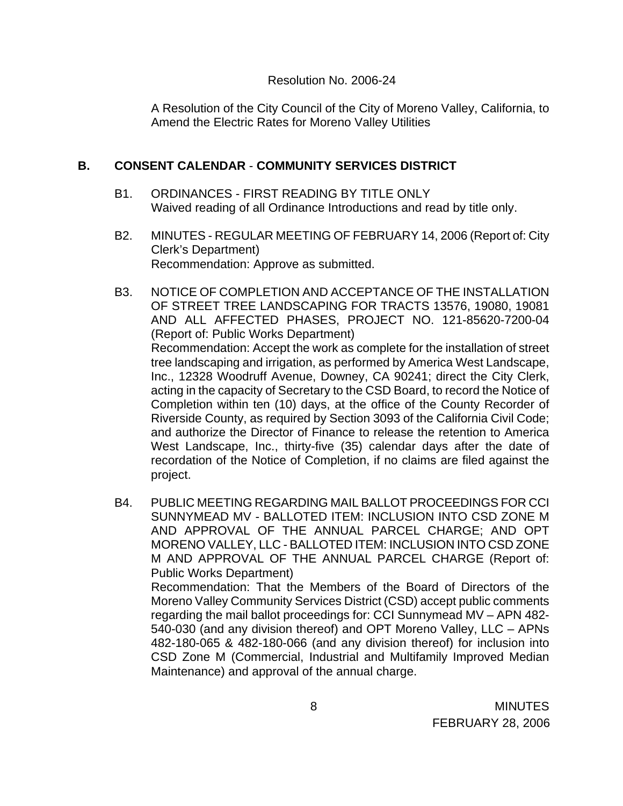#### Resolution No. 2006-24

A Resolution of the City Council of the City of Moreno Valley, California, to Amend the Electric Rates for Moreno Valley Utilities

# **B. CONSENT CALENDAR** - **COMMUNITY SERVICES DISTRICT**

- B1. ORDINANCES FIRST READING BY TITLE ONLY Waived reading of all Ordinance Introductions and read by title only.
- B2. MINUTES REGULAR MEETING OF FEBRUARY 14, 2006 (Report of: City Clerk's Department) Recommendation: Approve as submitted.
- B3. NOTICE OF COMPLETION AND ACCEPTANCE OF THE INSTALLATION OF STREET TREE LANDSCAPING FOR TRACTS 13576, 19080, 19081 AND ALL AFFECTED PHASES, PROJECT NO. 121-85620-7200-04 (Report of: Public Works Department) Recommendation: Accept the work as complete for the installation of street tree landscaping and irrigation, as performed by America West Landscape, Inc., 12328 Woodruff Avenue, Downey, CA 90241; direct the City Clerk, acting in the capacity of Secretary to the CSD Board, to record the Notice of Completion within ten (10) days, at the office of the County Recorder of Riverside County, as required by Section 3093 of the California Civil Code; and authorize the Director of Finance to release the retention to America West Landscape, Inc., thirty-five (35) calendar days after the date of recordation of the Notice of Completion, if no claims are filed against the project.
- B4. PUBLIC MEETING REGARDING MAIL BALLOT PROCEEDINGS FOR CCI SUNNYMEAD MV - BALLOTED ITEM: INCLUSION INTO CSD ZONE M AND APPROVAL OF THE ANNUAL PARCEL CHARGE; AND OPT MORENO VALLEY, LLC - BALLOTED ITEM: INCLUSION INTO CSD ZONE M AND APPROVAL OF THE ANNUAL PARCEL CHARGE (Report of: Public Works Department) Recommendation: That the Members of the Board of Directors of the Moreno Valley Community Services District (CSD) accept public comments regarding the mail ballot proceedings for: CCI Sunnymead MV – APN 482- 540-030 (and any division thereof) and OPT Moreno Valley, LLC – APNs 482-180-065 & 482-180-066 (and any division thereof) for inclusion into

CSD Zone M (Commercial, Industrial and Multifamily Improved Median

Maintenance) and approval of the annual charge.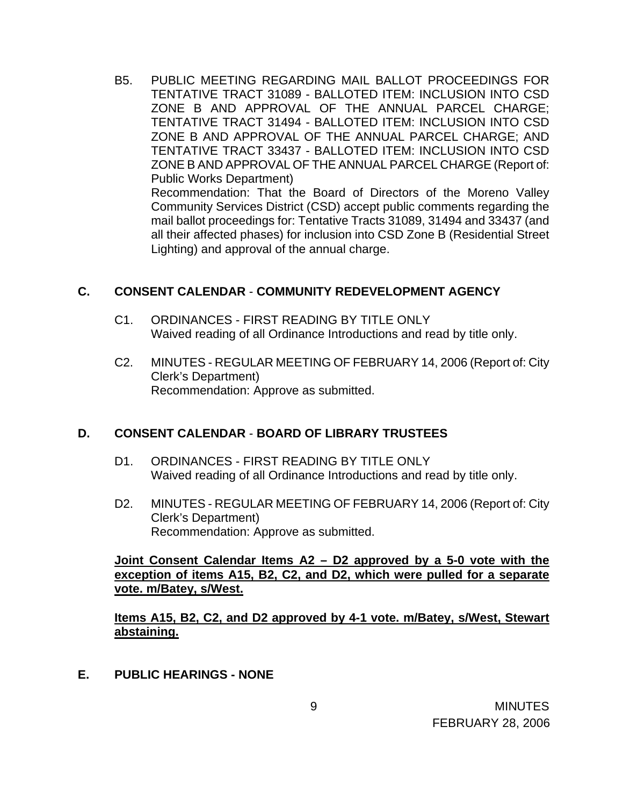B5. PUBLIC MEETING REGARDING MAIL BALLOT PROCEEDINGS FOR TENTATIVE TRACT 31089 - BALLOTED ITEM: INCLUSION INTO CSD ZONE B AND APPROVAL OF THE ANNUAL PARCEL CHARGE; TENTATIVE TRACT 31494 - BALLOTED ITEM: INCLUSION INTO CSD ZONE B AND APPROVAL OF THE ANNUAL PARCEL CHARGE; AND TENTATIVE TRACT 33437 - BALLOTED ITEM: INCLUSION INTO CSD ZONE B AND APPROVAL OF THE ANNUAL PARCEL CHARGE (Report of: Public Works Department) Recommendation: That the Board of Directors of the Moreno Valley Community Services District (CSD) accept public comments regarding the mail ballot proceedings for: Tentative Tracts 31089, 31494 and 33437 (and all their affected phases) for inclusion into CSD Zone B (Residential Street Lighting) and approval of the annual charge.

#### **C. CONSENT CALENDAR** - **COMMUNITY REDEVELOPMENT AGENCY**

- C1. ORDINANCES FIRST READING BY TITLE ONLY Waived reading of all Ordinance Introductions and read by title only.
- C2. MINUTES REGULAR MEETING OF FEBRUARY 14, 2006 (Report of: City Clerk's Department) Recommendation: Approve as submitted.

## **D. CONSENT CALENDAR** - **BOARD OF LIBRARY TRUSTEES**

- D1. ORDINANCES FIRST READING BY TITLE ONLY Waived reading of all Ordinance Introductions and read by title only.
- D2. MINUTES REGULAR MEETING OF FEBRUARY 14, 2006 (Report of: City Clerk's Department) Recommendation: Approve as submitted.

## **Joint Consent Calendar Items A2 – D2 approved by a 5-0 vote with the exception of items A15, B2, C2, and D2, which were pulled for a separate vote. m/Batey, s/West.**

 **Items A15, B2, C2, and D2 approved by 4-1 vote. m/Batey, s/West, Stewart abstaining.**

**E. PUBLIC HEARINGS - NONE**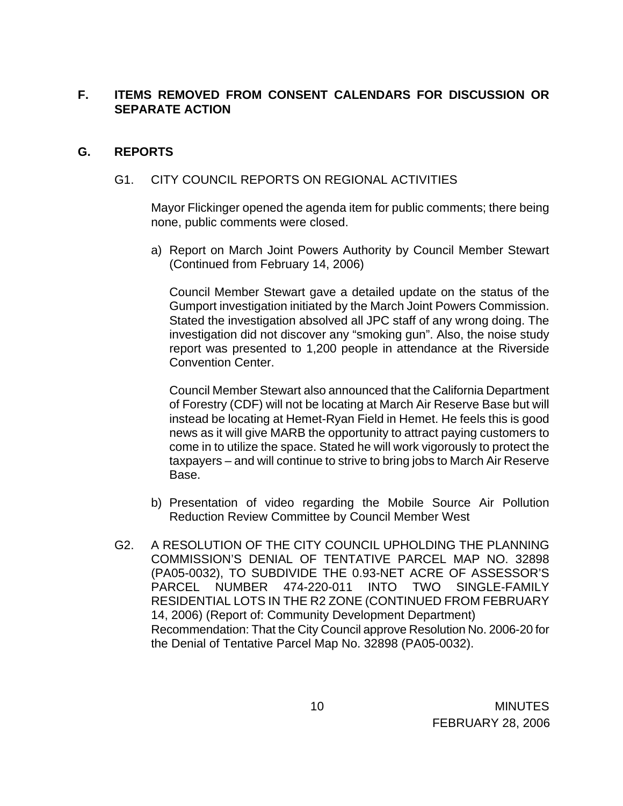# **F. ITEMS REMOVED FROM CONSENT CALENDARS FOR DISCUSSION OR SEPARATE ACTION**

# **G. REPORTS**

## G1. CITY COUNCIL REPORTS ON REGIONAL ACTIVITIES

 Mayor Flickinger opened the agenda item for public comments; there being none, public comments were closed.

a) Report on March Joint Powers Authority by Council Member Stewart (Continued from February 14, 2006)

Council Member Stewart gave a detailed update on the status of the Gumport investigation initiated by the March Joint Powers Commission. Stated the investigation absolved all JPC staff of any wrong doing. The investigation did not discover any "smoking gun". Also, the noise study report was presented to 1,200 people in attendance at the Riverside Convention Center.

Council Member Stewart also announced that the California Department of Forestry (CDF) will not be locating at March Air Reserve Base but will instead be locating at Hemet-Ryan Field in Hemet. He feels this is good news as it will give MARB the opportunity to attract paying customers to come in to utilize the space. Stated he will work vigorously to protect the taxpayers – and will continue to strive to bring jobs to March Air Reserve Base.

- b) Presentation of video regarding the Mobile Source Air Pollution Reduction Review Committee by Council Member West
- G2. A RESOLUTION OF THE CITY COUNCIL UPHOLDING THE PLANNING COMMISSION'S DENIAL OF TENTATIVE PARCEL MAP NO. 32898 (PA05-0032), TO SUBDIVIDE THE 0.93-NET ACRE OF ASSESSOR'S PARCEL NUMBER 474-220-011 INTO TWO SINGLE-FAMILY RESIDENTIAL LOTS IN THE R2 ZONE (CONTINUED FROM FEBRUARY 14, 2006) (Report of: Community Development Department) Recommendation: That the City Council approve Resolution No. 2006-20 for the Denial of Tentative Parcel Map No. 32898 (PA05-0032).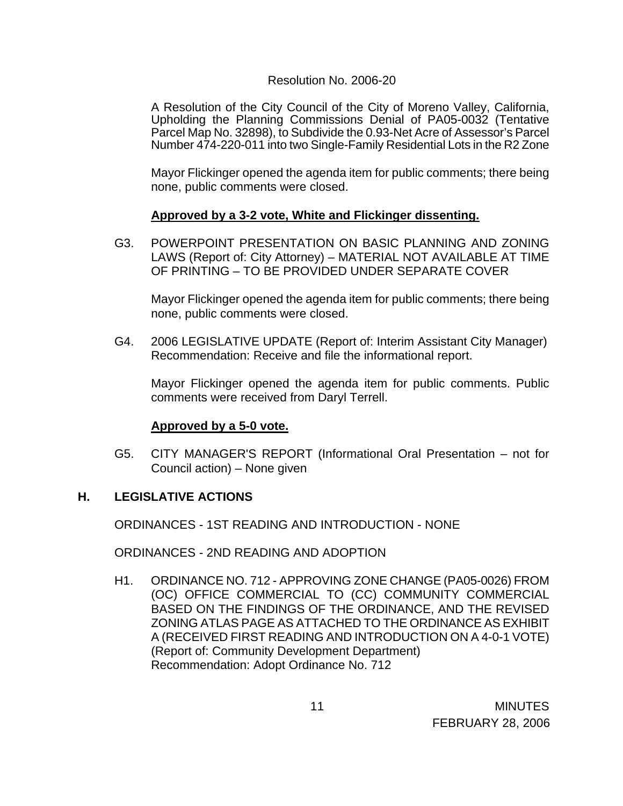### Resolution No. 2006-20

 A Resolution of the City Council of the City of Moreno Valley, California, Upholding the Planning Commissions Denial of PA05-0032 (Tentative Parcel Map No. 32898), to Subdivide the 0.93-Net Acre of Assessor's Parcel Number 474-220-011 into two Single-Family Residential Lots in the R2 Zone

 Mayor Flickinger opened the agenda item for public comments; there being none, public comments were closed.

#### **Approved by a 3-2 vote, White and Flickinger dissenting.**

G3. POWERPOINT PRESENTATION ON BASIC PLANNING AND ZONING LAWS (Report of: City Attorney) – MATERIAL NOT AVAILABLE AT TIME OF PRINTING – TO BE PROVIDED UNDER SEPARATE COVER

 Mayor Flickinger opened the agenda item for public comments; there being none, public comments were closed.

G4. 2006 LEGISLATIVE UPDATE (Report of: Interim Assistant City Manager) Recommendation: Receive and file the informational report.

Mayor Flickinger opened the agenda item for public comments. Public comments were received from Daryl Terrell.

## **Approved by a 5-0 vote.**

G5. CITY MANAGER'S REPORT (Informational Oral Presentation – not for Council action) – None given

## **H. LEGISLATIVE ACTIONS**

ORDINANCES - 1ST READING AND INTRODUCTION - NONE

ORDINANCES - 2ND READING AND ADOPTION

H1. ORDINANCE NO. 712 - APPROVING ZONE CHANGE (PA05-0026) FROM (OC) OFFICE COMMERCIAL TO (CC) COMMUNITY COMMERCIAL BASED ON THE FINDINGS OF THE ORDINANCE, AND THE REVISED ZONING ATLAS PAGE AS ATTACHED TO THE ORDINANCE AS EXHIBIT A (RECEIVED FIRST READING AND INTRODUCTION ON A 4-0-1 VOTE) (Report of: Community Development Department) Recommendation: Adopt Ordinance No. 712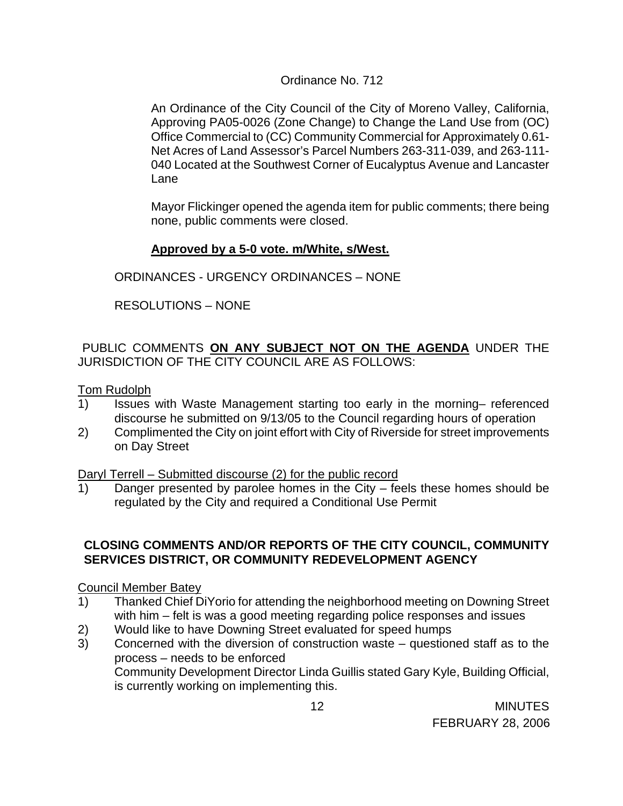## Ordinance No. 712

An Ordinance of the City Council of the City of Moreno Valley, California, Approving PA05-0026 (Zone Change) to Change the Land Use from (OC) Office Commercial to (CC) Community Commercial for Approximately 0.61- Net Acres of Land Assessor's Parcel Numbers 263-311-039, and 263-111- 040 Located at the Southwest Corner of Eucalyptus Avenue and Lancaster Lane

 Mayor Flickinger opened the agenda item for public comments; there being none, public comments were closed.

# **Approved by a 5-0 vote. m/White, s/West.**

ORDINANCES - URGENCY ORDINANCES – NONE

RESOLUTIONS – NONE

# PUBLIC COMMENTS **ON ANY SUBJECT NOT ON THE AGENDA** UNDER THE JURISDICTION OF THE CITY COUNCIL ARE AS FOLLOWS:

# Tom Rudolph

- 1) Issues with Waste Management starting too early in the morning– referenced discourse he submitted on 9/13/05 to the Council regarding hours of operation
- 2) Complimented the City on joint effort with City of Riverside for street improvements on Day Street

Daryl Terrell – Submitted discourse (2) for the public record

1) Danger presented by parolee homes in the City – feels these homes should be regulated by the City and required a Conditional Use Permit

# **CLOSING COMMENTS AND/OR REPORTS OF THE CITY COUNCIL, COMMUNITY SERVICES DISTRICT, OR COMMUNITY REDEVELOPMENT AGENCY**

## Council Member Batey

- 1) Thanked Chief DiYorio for attending the neighborhood meeting on Downing Street with him – felt is was a good meeting regarding police responses and issues
- 2) Would like to have Downing Street evaluated for speed humps
- 3) Concerned with the diversion of construction waste questioned staff as to the process – needs to be enforced Community Development Director Linda Guillis stated Gary Kyle, Building Official, is currently working on implementing this.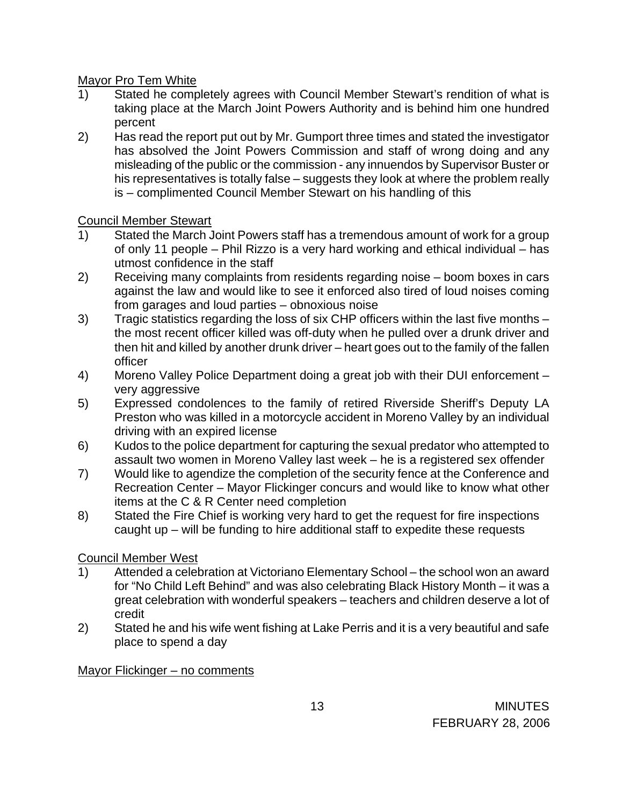Mayor Pro Tem White

- 1) Stated he completely agrees with Council Member Stewart's rendition of what is taking place at the March Joint Powers Authority and is behind him one hundred percent
- 2) Has read the report put out by Mr. Gumport three times and stated the investigator has absolved the Joint Powers Commission and staff of wrong doing and any misleading of the public or the commission - any innuendos by Supervisor Buster or his representatives is totally false – suggests they look at where the problem really is – complimented Council Member Stewart on his handling of this

# Council Member Stewart

- 1) Stated the March Joint Powers staff has a tremendous amount of work for a group of only 11 people – Phil Rizzo is a very hard working and ethical individual – has utmost confidence in the staff
- 2) Receiving many complaints from residents regarding noise boom boxes in cars against the law and would like to see it enforced also tired of loud noises coming from garages and loud parties – obnoxious noise
- 3) Tragic statistics regarding the loss of six CHP officers within the last five months the most recent officer killed was off-duty when he pulled over a drunk driver and then hit and killed by another drunk driver – heart goes out to the family of the fallen officer
- 4) Moreno Valley Police Department doing a great job with their DUI enforcement very aggressive
- 5) Expressed condolences to the family of retired Riverside Sheriff's Deputy LA Preston who was killed in a motorcycle accident in Moreno Valley by an individual driving with an expired license
- 6) Kudos to the police department for capturing the sexual predator who attempted to assault two women in Moreno Valley last week – he is a registered sex offender
- 7) Would like to agendize the completion of the security fence at the Conference and Recreation Center – Mayor Flickinger concurs and would like to know what other items at the C & R Center need completion
- 8) Stated the Fire Chief is working very hard to get the request for fire inspections caught up – will be funding to hire additional staff to expedite these requests

# Council Member West

- 1) Attended a celebration at Victoriano Elementary School the school won an award for "No Child Left Behind" and was also celebrating Black History Month – it was a great celebration with wonderful speakers – teachers and children deserve a lot of credit
- 2) Stated he and his wife went fishing at Lake Perris and it is a very beautiful and safe place to spend a day

# Mayor Flickinger – no comments